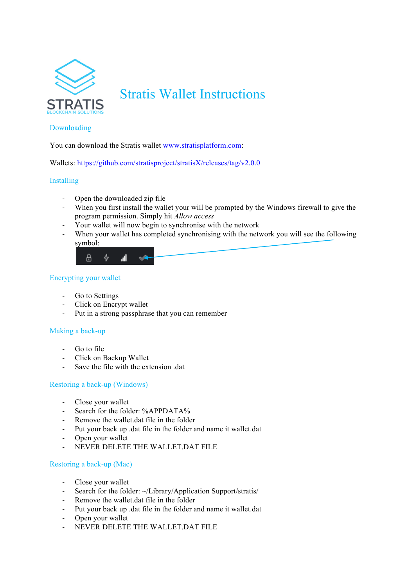

# Stratis Wallet Instructions

# Downloading

You can download the Stratis wallet www.stratisplatform.com:

Wallets: https://github.com/stratisproject/stratisX/releases/tag/v2.0.0

# Installing

- Open the downloaded zip file
- When you first install the wallet your will be prompted by the Windows firewall to give the program permission. Simply hit *Allow access*
- Your wallet will now begin to synchronise with the network
- When your wallet has completed synchronising with the network you will see the following symbol:



# Encrypting your wallet

- Go to Settings
- Click on Encrypt wallet
- Put in a strong passphrase that you can remember

#### Making a back-up

- Go to file
- Click on Backup Wallet
- Save the file with the extension .dat

# Restoring a back-up (Windows)

- Close your wallet
- Search for the folder: %APPDATA%
- Remove the wallet.dat file in the folder
- Put your back up .dat file in the folder and name it wallet.dat
- Open your wallet
- NEVER DELETE THE WALLET.DAT FILE

#### Restoring a back-up (Mac)

- Close your wallet
- Search for the folder: ~/Library/Application Support/stratis/
- Remove the wallet.dat file in the folder
- Put your back up .dat file in the folder and name it wallet.dat
- Open your wallet
- NEVER DELETE THE WALLET.DAT FILE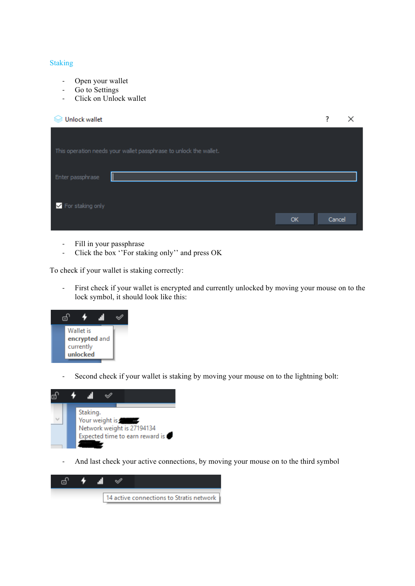#### Staking

- Open your wallet
- Go to Settings
- Click on Unlock wallet

| <b>Unlock wallet</b>                                              |        |  |
|-------------------------------------------------------------------|--------|--|
|                                                                   |        |  |
| This operation needs your wallet passphrase to unlock the wallet. |        |  |
|                                                                   |        |  |
| Enter passphrase                                                  |        |  |
|                                                                   |        |  |
| For staking only<br>OK                                            | Cancel |  |
|                                                                   |        |  |

- Fill in your passphrase
- Click the box ''For staking only'' and press OK

To check if your wallet is staking correctly:

- First check if your wallet is encrypted and currently unlocked by moving your mouse on to the lock symbol, it should look like this:



- Second check if your wallet is staking by moving your mouse on to the lightning bolt:



- And last check your active connections, by moving your mouse on to the third symbol

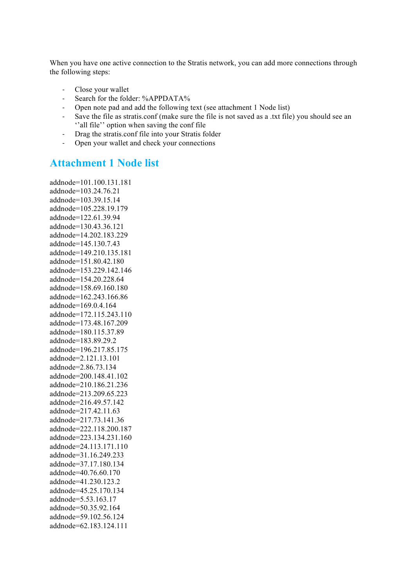When you have one active connection to the Stratis network, you can add more connections through the following steps:

- Close your wallet
- Search for the folder: %APPDATA%
- Open note pad and add the following text (see attachment 1 Node list)
- Save the file as stratis.conf (make sure the file is not saved as a .txt file) you should see an ''all file'' option when saving the conf file
- Drag the stratis.conf file into your Stratis folder
- Open your wallet and check your connections

# **Attachment 1 Node list**

addnode=101.100.131.181 addnode=103.24.76.21 addnode=103.39.15.14 addnode=105.228.19.179 addnode=122.61.39.94 addnode=130.43.36.121 addnode=14.202.183.229 addnode=145.130.7.43 addnode=149.210.135.181 addnode=151.80.42.180 addnode=153.229.142.146 addnode=154.20.228.64 addnode=158.69.160.180 addnode=162.243.166.86 addnode=169.0.4.164 addnode=172.115.243.110 addnode=173.48.167.209 addnode=180.115.37.89 addnode=183.89.29.2 addnode=196.217.85.175 addnode=2.121.13.101 addnode=2.86.73.134 addnode=200.148.41.102 addnode=210.186.21.236 addnode=213.209.65.223 addnode=216.49.57.142 addnode=217.42.11.63 addnode=217.73.141.36 addnode=222.118.200.187 addnode=223.134.231.160 addnode=24.113.171.110 addnode=31.16.249.233 addnode=37.17.180.134 addnode=40.76.60.170 addnode=41.230.123.2 addnode=45.25.170.134 addnode=5.53.163.17 addnode=50.35.92.164 addnode=59.102.56.124 addnode=62.183.124.111